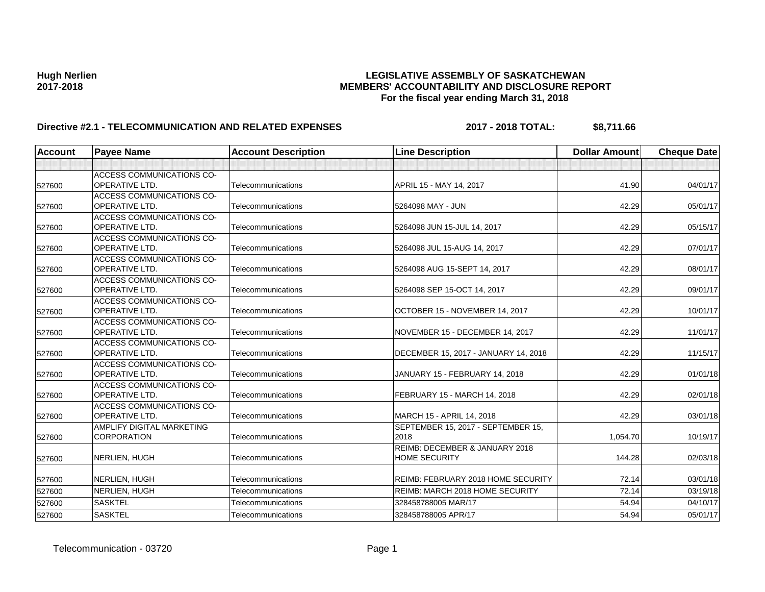# **Hugh Nerlien LEGISLATIVE ASSEMBLY OF SASKATCHEWAN 2017-2018 MEMBERS' ACCOUNTABILITY AND DISCLOSURE REPORT For the fiscal year ending March 31, 2018**

# **Directive #2.1 - TELECOMMUNICATION AND RELATED EXPENSES 2017 - 2018 TOTAL: \$8,711.66**

| <b>Account</b> | <b>Payee Name</b>                                         | <b>Account Description</b> | <b>Line Description</b>                   | <b>Dollar Amount</b> | <b>Cheque Date</b> |
|----------------|-----------------------------------------------------------|----------------------------|-------------------------------------------|----------------------|--------------------|
|                |                                                           |                            |                                           |                      |                    |
|                | ACCESS COMMUNICATIONS CO-                                 |                            |                                           |                      |                    |
| 527600         | <b>OPERATIVE LTD.</b>                                     | Telecommunications         | APRIL 15 - MAY 14, 2017                   | 41.90                | 04/01/17           |
|                | ACCESS COMMUNICATIONS CO-                                 |                            |                                           |                      |                    |
| 527600         | <b>OPERATIVE LTD.</b>                                     | Telecommunications         | 5264098 MAY - JUN                         | 42.29                | 05/01/17           |
|                | <b>ACCESS COMMUNICATIONS CO-</b>                          |                            |                                           |                      |                    |
| 527600         | <b>OPERATIVE LTD.</b>                                     | Telecommunications         | 5264098 JUN 15-JUL 14, 2017               | 42.29                | 05/15/17           |
|                | ACCESS COMMUNICATIONS CO-                                 |                            |                                           |                      |                    |
| 527600         | OPERATIVE LTD.                                            | Telecommunications         | 5264098 JUL 15-AUG 14, 2017               | 42.29                | 07/01/17           |
|                | <b>ACCESS COMMUNICATIONS CO-</b>                          |                            |                                           |                      |                    |
| 527600         | OPERATIVE LTD.                                            | Telecommunications         | 5264098 AUG 15-SEPT 14, 2017              | 42.29                | 08/01/17           |
|                | <b>ACCESS COMMUNICATIONS CO-</b>                          |                            |                                           |                      |                    |
| 527600         | OPERATIVE LTD.                                            | Telecommunications         | 5264098 SEP 15-OCT 14, 2017               | 42.29                | 09/01/17           |
|                | <b>ACCESS COMMUNICATIONS CO-</b>                          |                            |                                           |                      |                    |
| 527600         | <b>OPERATIVE LTD.</b>                                     | Telecommunications         | OCTOBER 15 - NOVEMBER 14, 2017            | 42.29                | 10/01/17           |
|                | ACCESS COMMUNICATIONS CO-                                 |                            |                                           |                      |                    |
| 527600         | <b>OPERATIVE LTD.</b>                                     | Telecommunications         | NOVEMBER 15 - DECEMBER 14, 2017           | 42.29                | 11/01/17           |
|                | ACCESS COMMUNICATIONS CO-                                 |                            |                                           |                      |                    |
| 527600         | <b>OPERATIVE LTD.</b>                                     | Telecommunications         | DECEMBER 15, 2017 - JANUARY 14, 2018      | 42.29                | 11/15/17           |
|                | <b>ACCESS COMMUNICATIONS CO-</b><br><b>OPERATIVE LTD.</b> | Telecommunications         |                                           | 42.29                |                    |
| 527600         |                                                           |                            | JANUARY 15 - FEBRUARY 14, 2018            |                      | 01/01/18           |
|                | ACCESS COMMUNICATIONS CO-<br>OPERATIVE LTD.               | Telecommunications         | FEBRUARY 15 - MARCH 14, 2018              | 42.29                | 02/01/18           |
| 527600         | ACCESS COMMUNICATIONS CO-                                 |                            |                                           |                      |                    |
| 527600         | OPERATIVE LTD.                                            | Telecommunications         | MARCH 15 - APRIL 14, 2018                 | 42.29                | 03/01/18           |
|                | AMPLIFY DIGITAL MARKETING                                 |                            | SEPTEMBER 15, 2017 - SEPTEMBER 15,        |                      |                    |
| 527600         | <b>CORPORATION</b>                                        | Telecommunications         | 2018                                      | 1,054.70             | 10/19/17           |
|                |                                                           |                            | <b>REIMB: DECEMBER &amp; JANUARY 2018</b> |                      |                    |
| 527600         | NERLIEN, HUGH                                             | Telecommunications         | <b>HOME SECURITY</b>                      | 144.28               | 02/03/18           |
|                |                                                           |                            |                                           |                      |                    |
| 527600         | NERLIEN, HUGH                                             | Telecommunications         | REIMB: FEBRUARY 2018 HOME SECURITY        | 72.14                | 03/01/18           |
| 527600         | NERLIEN, HUGH                                             | Telecommunications         | <b>REIMB: MARCH 2018 HOME SECURITY</b>    | 72.14                | 03/19/18           |
| 527600         | <b>SASKTEL</b>                                            | Telecommunications         | 328458788005 MAR/17                       | 54.94                | 04/10/17           |
| 527600         | <b>SASKTEL</b>                                            | Telecommunications         | 328458788005 APR/17                       | 54.94                | 05/01/17           |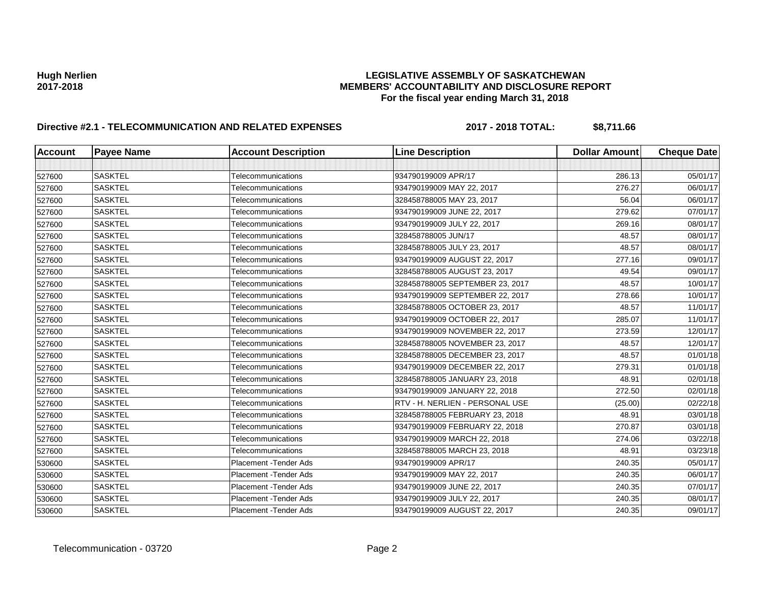# **Hugh Nerlien LEGISLATIVE ASSEMBLY OF SASKATCHEWAN 2017-2018 MEMBERS' ACCOUNTABILITY AND DISCLOSURE REPORT For the fiscal year ending March 31, 2018**

# **Directive #2.1 - TELECOMMUNICATION AND RELATED EXPENSES 2017 - 2018 TOTAL: \$8,711.66**

| <b>Account</b> | <b>Payee Name</b> | <b>Account Description</b>    | <b>Line Description</b>         | <b>Dollar Amount</b> | <b>Cheque Date</b> |
|----------------|-------------------|-------------------------------|---------------------------------|----------------------|--------------------|
|                |                   |                               |                                 |                      |                    |
| 527600         | <b>SASKTEL</b>    | Telecommunications            | 934790199009 APR/17             | 286.13               | 05/01/17           |
| 527600         | <b>SASKTEL</b>    | Telecommunications            | 934790199009 MAY 22, 2017       | 276.27               | 06/01/17           |
| 527600         | <b>SASKTEL</b>    | Telecommunications            | 328458788005 MAY 23, 2017       | 56.04                | 06/01/17           |
| 527600         | <b>SASKTEL</b>    | Telecommunications            | 934790199009 JUNE 22, 2017      | 279.62               | 07/01/17           |
| 527600         | <b>SASKTEL</b>    | Telecommunications            | 934790199009 JULY 22, 2017      | 269.16               | 08/01/17           |
| 527600         | <b>SASKTEL</b>    | Telecommunications            | 328458788005 JUN/17             | 48.57                | 08/01/17           |
| 527600         | <b>SASKTEL</b>    | Telecommunications            | 328458788005 JULY 23, 2017      | 48.57                | 08/01/17           |
| 527600         | <b>SASKTEL</b>    | Telecommunications            | 934790199009 AUGUST 22, 2017    | 277.16               | 09/01/17           |
| 527600         | <b>SASKTEL</b>    | Telecommunications            | 328458788005 AUGUST 23, 2017    | 49.54                | 09/01/17           |
| 527600         | <b>SASKTEL</b>    | Telecommunications            | 328458788005 SEPTEMBER 23, 2017 | 48.57                | 10/01/17           |
| 527600         | <b>SASKTEL</b>    | Telecommunications            | 934790199009 SEPTEMBER 22, 2017 | 278.66               | 10/01/17           |
| 527600         | <b>SASKTEL</b>    | Telecommunications            | 328458788005 OCTOBER 23, 2017   | 48.57                | 11/01/17           |
| 527600         | <b>SASKTEL</b>    | Telecommunications            | 934790199009 OCTOBER 22, 2017   | 285.07               | 11/01/17           |
| 527600         | <b>SASKTEL</b>    | Telecommunications            | 934790199009 NOVEMBER 22, 2017  | 273.59               | 12/01/17           |
| 527600         | <b>SASKTEL</b>    | Telecommunications            | 328458788005 NOVEMBER 23, 2017  | 48.57                | 12/01/17           |
| 527600         | <b>SASKTEL</b>    | Telecommunications            | 328458788005 DECEMBER 23, 2017  | 48.57                | 01/01/18           |
| 527600         | <b>SASKTEL</b>    | Telecommunications            | 934790199009 DECEMBER 22, 2017  | 279.31               | 01/01/18           |
| 527600         | <b>SASKTEL</b>    | Telecommunications            | 328458788005 JANUARY 23, 2018   | 48.91                | 02/01/18           |
| 527600         | <b>SASKTEL</b>    | Telecommunications            | 934790199009 JANUARY 22, 2018   | 272.50               | 02/01/18           |
| 527600         | <b>SASKTEL</b>    | Telecommunications            | RTV - H. NERLIEN - PERSONAL USE | (25.00)              | 02/22/18           |
| 527600         | <b>SASKTEL</b>    | Telecommunications            | 328458788005 FEBRUARY 23, 2018  | 48.91                | 03/01/18           |
| 527600         | <b>SASKTEL</b>    | Telecommunications            | 934790199009 FEBRUARY 22, 2018  | 270.87               | 03/01/18           |
| 527600         | <b>SASKTEL</b>    | Telecommunications            | 934790199009 MARCH 22, 2018     | 274.06               | 03/22/18           |
| 527600         | <b>SASKTEL</b>    | <b>Telecommunications</b>     | 328458788005 MARCH 23, 2018     | 48.91                | 03/23/18           |
| 530600         | <b>SASKTEL</b>    | <b>Placement - Tender Ads</b> | 934790199009 APR/17             | 240.35               | 05/01/17           |
| 530600         | <b>SASKTEL</b>    | Placement - Tender Ads        | 934790199009 MAY 22, 2017       | 240.35               | 06/01/17           |
| 530600         | <b>SASKTEL</b>    | Placement - Tender Ads        | 934790199009 JUNE 22, 2017      | 240.35               | 07/01/17           |
| 530600         | <b>SASKTEL</b>    | <b>Placement - Tender Ads</b> | 934790199009 JULY 22, 2017      | 240.35               | 08/01/17           |
| 530600         | <b>SASKTEL</b>    | <b>Placement - Tender Ads</b> | 934790199009 AUGUST 22, 2017    | 240.35               | 09/01/17           |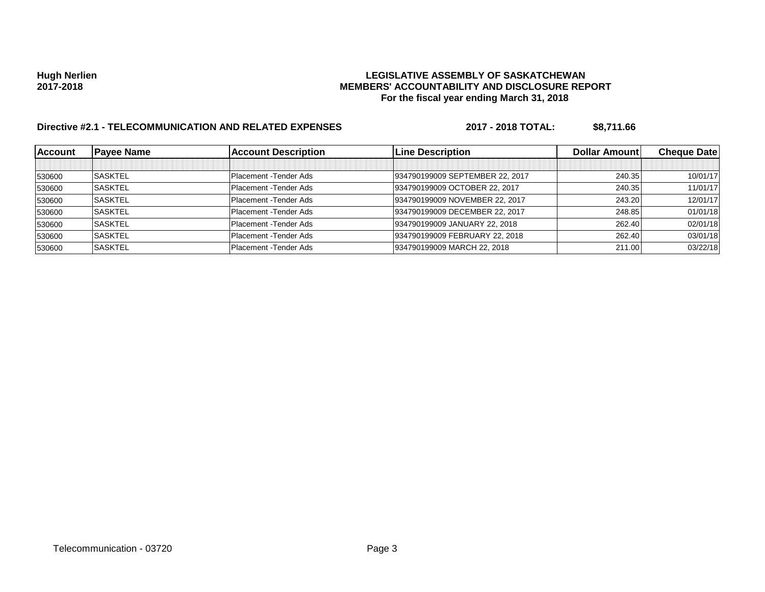# **Hugh Nerlien LEGISLATIVE ASSEMBLY OF SASKATCHEWAN 2017-2018 MEMBERS' ACCOUNTABILITY AND DISCLOSURE REPORT For the fiscal year ending March 31, 2018**

# **Directive #2.1 - TELECOMMUNICATION AND RELATED EXPENSES 2017 - 2018 TOTAL: \$8,711.66**

| <b>IAccount</b> | <b>Payee Name</b> | <b>Account Description</b> | <b>Line Description</b>         | Dollar Amount | <b>Cheque Date</b> |
|-----------------|-------------------|----------------------------|---------------------------------|---------------|--------------------|
|                 |                   |                            |                                 |               |                    |
| 530600          | <b>SASKTEL</b>    | Placement - Tender Ads     | 934790199009 SEPTEMBER 22, 2017 | 240.35        | 10/01/17           |
| 530600          | <b>SASKTEL</b>    | Placement - Tender Ads     | 934790199009 OCTOBER 22, 2017   | 240.35        | 11/01/17           |
| 530600          | <b>SASKTEL</b>    | Placement - Tender Ads     | 934790199009 NOVEMBER 22, 2017  | 243.20        | 12/01/17           |
| 530600          | <b>SASKTEL</b>    | Placement - Tender Ads     | 934790199009 DECEMBER 22, 2017  | 248.85        | 01/01/18           |
| 530600          | <b>SASKTEL</b>    | Placement - Tender Ads     | 934790199009 JANUARY 22, 2018   | 262.40        | 02/01/18           |
| 530600          | <b>SASKTEL</b>    | Placement - Tender Ads     | 934790199009 FEBRUARY 22, 2018  | 262.40        | 03/01/18           |
| 530600          | <b>SASKTEL</b>    | Placement - Tender Ads     | 934790199009 MARCH 22, 2018     | 211.00        | 03/22/18           |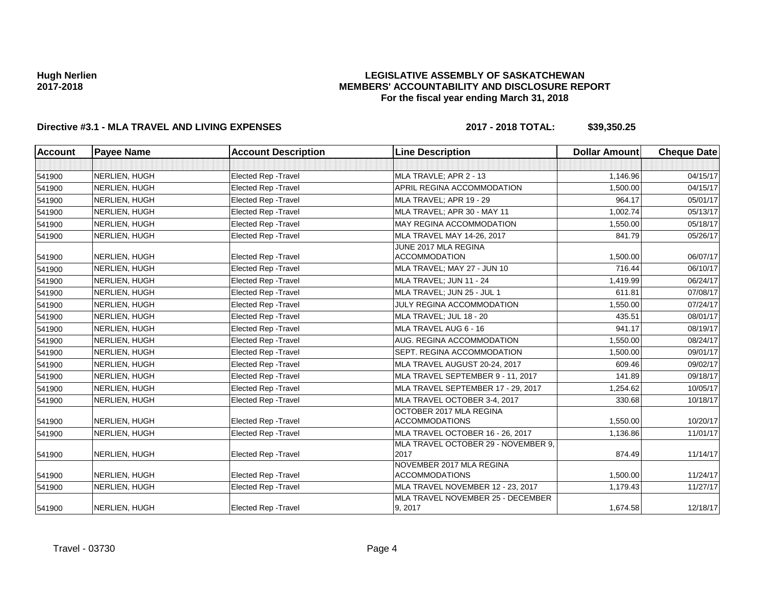## **LEGISLATIVE ASSEMBLY OF SASKATCHEWAN MEMBERS' ACCOUNTABILITY AND DISCLOSURE REPORT For the fiscal year ending March 31, 2018**

# **Directive #3.1 - MLA TRAVEL AND LIVING EXPENSES 2017 - 2018 TOTAL: \$39,350.25**

| <b>Account</b> | <b>Payee Name</b> | <b>Account Description</b>                                 | <b>Line Description</b>                           | <b>Dollar Amount</b> | <b>Cheque Date</b> |
|----------------|-------------------|------------------------------------------------------------|---------------------------------------------------|----------------------|--------------------|
|                |                   |                                                            |                                                   |                      |                    |
| 541900         | NERLIEN, HUGH     | Elected Rep - Travel                                       | MLA TRAVLE; APR 2 - 13                            | 1,146.96             | 04/15/17           |
| 541900         | NERLIEN, HUGH     | <b>Elected Rep - Travel</b>                                | APRIL REGINA ACCOMMODATION                        | 1,500.00             | 04/15/17           |
| 541900         | NERLIEN, HUGH     | <b>Elected Rep - Travel</b>                                | MLA TRAVEL; APR 19 - 29                           | 964.17               | 05/01/17           |
| 541900         | NERLIEN, HUGH     | Elected Rep - Travel                                       | MLA TRAVEL; APR 30 - MAY 11                       | 1,002.74             | 05/13/17           |
| 541900         | NERLIEN, HUGH     | Elected Rep - Travel                                       | MAY REGINA ACCOMMODATION                          | 1,550.00             | 05/18/17           |
| 541900         | NERLIEN, HUGH     | <b>Elected Rep - Travel</b>                                | MLA TRAVEL MAY 14-26, 2017                        | 841.79               | 05/26/17           |
|                | NERLIEN, HUGH     | <b>Elected Rep - Travel</b>                                | JUNE 2017 MLA REGINA<br><b>ACCOMMODATION</b>      | 1,500.00             | 06/07/17           |
| 541900         | NERLIEN, HUGH     | Elected Rep - Travel                                       | MLA TRAVEL; MAY 27 - JUN 10                       | 716.44               | 06/10/17           |
| 541900         | NERLIEN, HUGH     | Elected Rep - Travel                                       | MLA TRAVEL; JUN 11 - 24                           | 1,419.99             | 06/24/17           |
| 541900         | NERLIEN, HUGH     |                                                            | MLA TRAVEL; JUN 25 - JUL 1                        | 611.81               | 07/08/17           |
| 541900         | NERLIEN, HUGH     | <b>Elected Rep - Travel</b><br><b>Elected Rep - Travel</b> | JULY REGINA ACCOMMODATION                         | 1,550.00             | 07/24/17           |
| 541900         |                   |                                                            |                                                   |                      |                    |
| 541900         | NERLIEN, HUGH     | Elected Rep - Travel                                       | MLA TRAVEL; JUL 18 - 20                           | 435.51               | 08/01/17           |
| 541900         | NERLIEN, HUGH     | Elected Rep - Travel                                       | MLA TRAVEL AUG 6 - 16                             | 941.17               | 08/19/17           |
| 541900         | NERLIEN, HUGH     | <b>Elected Rep - Travel</b>                                | AUG. REGINA ACCOMMODATION                         | 1,550.00             | 08/24/17           |
| 541900         | NERLIEN, HUGH     | <b>Elected Rep - Travel</b>                                | SEPT. REGINA ACCOMMODATION                        | 1,500.00             | 09/01/17           |
| 541900         | NERLIEN, HUGH     | Elected Rep - Travel                                       | MLA TRAVEL AUGUST 20-24, 2017                     | 609.46               | 09/02/17           |
| 541900         | NERLIEN, HUGH     | <b>Elected Rep - Travel</b>                                | MLA TRAVEL SEPTEMBER 9 - 11, 2017                 | 141.89               | 09/18/17           |
| 541900         | NERLIEN, HUGH     | Elected Rep - Travel                                       | MLA TRAVEL SEPTEMBER 17 - 29, 2017                | 1.254.62             | 10/05/17           |
| 541900         | NERLIEN, HUGH     | <b>Elected Rep - Travel</b>                                | MLA TRAVEL OCTOBER 3-4, 2017                      | 330.68               | 10/18/17           |
| 541900         | NERLIEN, HUGH     | Elected Rep - Travel                                       | OCTOBER 2017 MLA REGINA<br><b>ACCOMMODATIONS</b>  | 1,550.00             | 10/20/17           |
| 541900         | NERLIEN, HUGH     | Elected Rep - Travel                                       | MLA TRAVEL OCTOBER 16 - 26, 2017                  | 1,136.86             | 11/01/17           |
| 541900         | NERLIEN, HUGH     | <b>Elected Rep - Travel</b>                                | MLA TRAVEL OCTOBER 29 - NOVEMBER 9.<br>2017       | 874.49               | 11/14/17           |
| 541900         | NERLIEN, HUGH     | <b>Elected Rep - Travel</b>                                | NOVEMBER 2017 MLA REGINA<br><b>ACCOMMODATIONS</b> | 1,500.00             | 11/24/17           |
| 541900         | NERLIEN, HUGH     | <b>Elected Rep - Travel</b>                                | MLA TRAVEL NOVEMBER 12 - 23, 2017                 | 1,179.43             | 11/27/17           |
| 541900         | NERLIEN, HUGH     | Elected Rep - Travel                                       | MLA TRAVEL NOVEMBER 25 - DECEMBER<br>9, 2017      | 1,674.58             | 12/18/17           |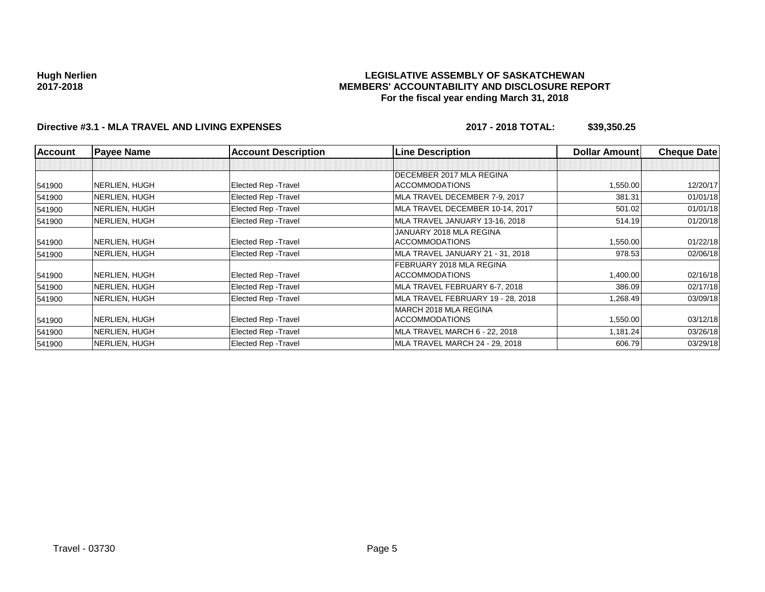### **LEGISLATIVE ASSEMBLY OF SASKATCHEWAN MEMBERS' ACCOUNTABILITY AND DISCLOSURE REPORT For the fiscal year ending March 31, 2018**

## **Directive #3.1 - MLA TRAVEL AND LIVING EXPENSES 2017 - 2018 TOTAL: \$39,350.25**

| <b>Account</b> | <b>Payee Name</b>     | <b>Account Description</b>  | <b>Line Description</b>           | <b>Dollar Amount</b> | <b>Cheque Date</b> |
|----------------|-----------------------|-----------------------------|-----------------------------------|----------------------|--------------------|
|                |                       |                             |                                   |                      |                    |
|                |                       |                             | DECEMBER 2017 MLA REGINA          |                      |                    |
| 541900         | <b>INERLIEN, HUGH</b> | Elected Rep - Travel        | <b>ACCOMMODATIONS</b>             | 1,550.00             | 12/20/17           |
| 541900         | NERLIEN, HUGH         | Elected Rep - Travel        | MLA TRAVEL DECEMBER 7-9, 2017     | 381.31               | 01/01/18           |
| 541900         | NERLIEN, HUGH         | <b>Elected Rep - Travel</b> | MLA TRAVEL DECEMBER 10-14, 2017   | 501.02               | 01/01/18           |
| 541900         | NERLIEN, HUGH         | Elected Rep - Travel        | MLA TRAVEL JANUARY 13-16, 2018    | 514.19               | 01/20/18           |
|                |                       |                             | JANUARY 2018 MLA REGINA           |                      |                    |
| 541900         | NERLIEN, HUGH         | Elected Rep - Travel        | <b>ACCOMMODATIONS</b>             | 1,550.00             | 01/22/18           |
| 541900         | NERLIEN, HUGH         | <b>Elected Rep - Travel</b> | MLA TRAVEL JANUARY 21 - 31, 2018  | 978.53               | 02/06/18           |
|                |                       |                             | FEBRUARY 2018 MLA REGINA          |                      |                    |
| 541900         | NERLIEN, HUGH         | Elected Rep - Travel        | <b>ACCOMMODATIONS</b>             | 1,400.00             | 02/16/18           |
| 541900         | NERLIEN, HUGH         | Elected Rep - Travel        | MLA TRAVEL FEBRUARY 6-7, 2018     | 386.09               | 02/17/18           |
| 541900         | NERLIEN, HUGH         | Elected Rep - Travel        | MLA TRAVEL FEBRUARY 19 - 28, 2018 | 268.49.              | 03/09/18           |
|                |                       |                             | MARCH 2018 MLA REGINA             |                      |                    |
| 541900         | <b>INERLIEN, HUGH</b> | Elected Rep - Travel        | <b>ACCOMMODATIONS</b>             | 1,550.00             | 03/12/18           |
| 541900         | NERLIEN, HUGH         | Elected Rep - Travel        | MLA TRAVEL MARCH 6 - 22, 2018     | 1.181.24             | 03/26/18           |
| 541900         | NERLIEN, HUGH         | <b>Elected Rep - Travel</b> | MLA TRAVEL MARCH 24 - 29, 2018    | 606.79               | 03/29/18           |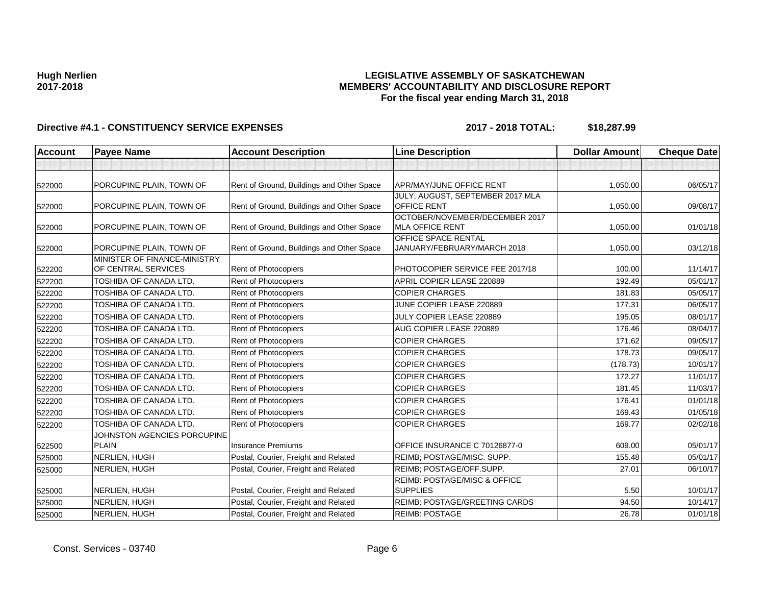## **LEGISLATIVE ASSEMBLY OF SASKATCHEWAN MEMBERS' ACCOUNTABILITY AND DISCLOSURE REPORT For the fiscal year ending March 31, 2018**

| <b>Account</b> | <b>Payee Name</b>                                   | <b>Account Description</b>                | <b>Line Description</b>                                  | <b>Dollar Amount</b> | <b>Cheque Date</b> |
|----------------|-----------------------------------------------------|-------------------------------------------|----------------------------------------------------------|----------------------|--------------------|
|                |                                                     |                                           |                                                          |                      |                    |
| 522000         | PORCUPINE PLAIN, TOWN OF                            | Rent of Ground, Buildings and Other Space | <b>APR/MAY/JUNE OFFICE RENT</b>                          | 1,050.00             | 06/05/17           |
| 522000         | PORCUPINE PLAIN, TOWN OF                            | Rent of Ground, Buildings and Other Space | JULY, AUGUST, SEPTEMBER 2017 MLA<br><b>OFFICE RENT</b>   | 1,050.00             | 09/08/17           |
| 522000         | PORCUPINE PLAIN, TOWN OF                            | Rent of Ground, Buildings and Other Space | OCTOBER/NOVEMBER/DECEMBER 2017<br><b>MLA OFFICE RENT</b> | 1,050.00             | 01/01/18           |
| 522000         | PORCUPINE PLAIN, TOWN OF                            | Rent of Ground, Buildings and Other Space | OFFICE SPACE RENTAL<br>JANUARY/FEBRUARY/MARCH 2018       | 1,050.00             | 03/12/18           |
| 522200         | MINISTER OF FINANCE-MINISTRY<br>OF CENTRAL SERVICES | Rent of Photocopiers                      | PHOTOCOPIER SERVICE FEE 2017/18                          | 100.00               | 11/14/17           |
| 522200         | TOSHIBA OF CANADA LTD.                              | Rent of Photocopiers                      | APRIL COPIER LEASE 220889                                | 192.49               | 05/01/17           |
| 522200         | <b>TOSHIBA OF CANADA LTD.</b>                       | Rent of Photocopiers                      | <b>COPIER CHARGES</b>                                    | 181.83               | 05/05/17           |
| 522200         | TOSHIBA OF CANADA LTD.                              | Rent of Photocopiers                      | JUNE COPIER LEASE 220889                                 | 177.31               | 06/05/17           |
| 522200         | TOSHIBA OF CANADA LTD.                              | Rent of Photocopiers                      | JULY COPIER LEASE 220889                                 | 195.05               | 08/01/17           |
| 522200         | TOSHIBA OF CANADA LTD.                              | Rent of Photocopiers                      | AUG COPIER LEASE 220889                                  | 176.46               | 08/04/17           |
| 522200         | TOSHIBA OF CANADA LTD.                              | Rent of Photocopiers                      | <b>COPIER CHARGES</b>                                    | 171.62               | 09/05/17           |
| 522200         | TOSHIBA OF CANADA LTD.                              | Rent of Photocopiers                      | <b>COPIER CHARGES</b>                                    | 178.73               | 09/05/17           |
| 522200         | TOSHIBA OF CANADA LTD.                              | Rent of Photocopiers                      | <b>COPIER CHARGES</b>                                    | (178.73)             | 10/01/17           |
| 522200         | TOSHIBA OF CANADA LTD.                              | <b>Rent of Photocopiers</b>               | <b>COPIER CHARGES</b>                                    | 172.27               | 11/01/17           |
| 522200         | TOSHIBA OF CANADA LTD.                              | Rent of Photocopiers                      | <b>COPIER CHARGES</b>                                    | 181.45               | 11/03/17           |
| 522200         | TOSHIBA OF CANADA LTD.                              | Rent of Photocopiers                      | <b>COPIER CHARGES</b>                                    | 176.41               | 01/01/18           |
| 522200         | TOSHIBA OF CANADA LTD.                              | Rent of Photocopiers                      | <b>COPIER CHARGES</b>                                    | 169.43               | 01/05/18           |
| 522200         | TOSHIBA OF CANADA LTD.                              | Rent of Photocopiers                      | <b>COPIER CHARGES</b>                                    | 169.77               | 02/02/18           |
| 522500         | JOHNSTON AGENCIES PORCUPINE<br><b>PLAIN</b>         | <b>Insurance Premiums</b>                 | OFFICE INSURANCE C 70126877-0                            | 609.00               | 05/01/17           |
| 525000         | NERLIEN, HUGH                                       | Postal, Courier, Freight and Related      | REIMB; POSTAGE/MISC. SUPP.                               | 155.48               | 05/01/17           |
| 525000         | NERLIEN, HUGH                                       | Postal, Courier, Freight and Related      | REIMB; POSTAGE/OFF.SUPP.                                 | 27.01                | 06/10/17           |
| 525000         | NERLIEN, HUGH                                       | Postal, Courier, Freight and Related      | REIMB: POSTAGE/MISC & OFFICE<br><b>SUPPLIES</b>          | 5.50                 | 10/01/17           |
| 525000         | NERLIEN, HUGH                                       | Postal, Courier, Freight and Related      | REIMB: POSTAGE/GREETING CARDS                            | 94.50                | 10/14/17           |
| 525000         | NERLIEN, HUGH                                       | Postal, Courier, Freight and Related      | <b>REIMB: POSTAGE</b>                                    | 26.78                | 01/01/18           |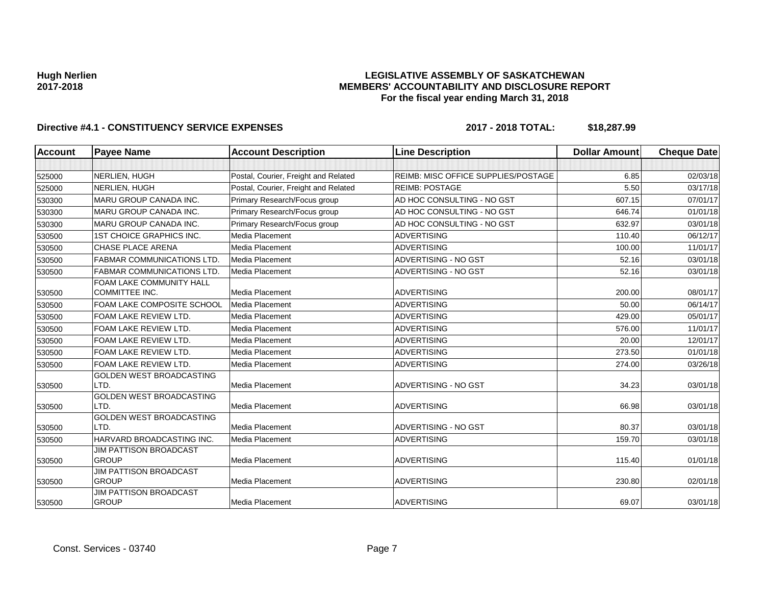## **LEGISLATIVE ASSEMBLY OF SASKATCHEWAN MEMBERS' ACCOUNTABILITY AND DISCLOSURE REPORT For the fiscal year ending March 31, 2018**

| <b>Account</b> | <b>Payee Name</b>                                 | <b>Account Description</b>           | <b>Line Description</b>                    | <b>Dollar Amount</b> | <b>Cheque Date</b> |
|----------------|---------------------------------------------------|--------------------------------------|--------------------------------------------|----------------------|--------------------|
|                |                                                   |                                      |                                            |                      |                    |
| 525000         | NERLIEN, HUGH                                     | Postal, Courier, Freight and Related | <b>REIMB: MISC OFFICE SUPPLIES/POSTAGE</b> | 6.85                 | 02/03/18           |
| 525000         | NERLIEN, HUGH                                     | Postal, Courier, Freight and Related | <b>REIMB: POSTAGE</b>                      | 5.50                 | 03/17/18           |
| 530300         | MARU GROUP CANADA INC.                            | Primary Research/Focus group         | AD HOC CONSULTING - NO GST                 | 607.15               | 07/01/17           |
| 530300         | MARU GROUP CANADA INC.                            | Primary Research/Focus group         | AD HOC CONSULTING - NO GST                 | 646.74               | 01/01/18           |
| 530300         | MARU GROUP CANADA INC.                            | Primary Research/Focus group         | AD HOC CONSULTING - NO GST                 | 632.97               | 03/01/18           |
| 530500         | <b>1ST CHOICE GRAPHICS INC.</b>                   | Media Placement                      | <b>ADVERTISING</b>                         | 110.40               | 06/12/17           |
| 530500         | <b>CHASE PLACE ARENA</b>                          | Media Placement                      | <b>ADVERTISING</b>                         | 100.00               | 11/01/17           |
| 530500         | <b>FABMAR COMMUNICATIONS LTD.</b>                 | Media Placement                      | ADVERTISING - NO GST                       | 52.16                | 03/01/18           |
| 530500         | FABMAR COMMUNICATIONS LTD.                        | Media Placement                      | ADVERTISING - NO GST                       | 52.16                | 03/01/18           |
| 530500         | FOAM LAKE COMMUNITY HALL<br><b>COMMITTEE INC.</b> | Media Placement                      | <b>ADVERTISING</b>                         | 200.00               | 08/01/17           |
| 530500         | FOAM LAKE COMPOSITE SCHOOL                        | Media Placement                      | <b>ADVERTISING</b>                         | 50.00                | 06/14/17           |
| 530500         | FOAM LAKE REVIEW LTD.                             | Media Placement                      | <b>ADVERTISING</b>                         | 429.00               | 05/01/17           |
| 530500         | FOAM LAKE REVIEW LTD.                             | Media Placement                      | <b>ADVERTISING</b>                         | 576.00               | 11/01/17           |
| 530500         | FOAM LAKE REVIEW LTD.                             | Media Placement                      | <b>ADVERTISING</b>                         | 20.00                | 12/01/17           |
| 530500         | FOAM LAKE REVIEW LTD.                             | Media Placement                      | <b>ADVERTISING</b>                         | 273.50               | 01/01/18           |
| 530500         | FOAM LAKE REVIEW LTD.                             | Media Placement                      | <b>ADVERTISING</b>                         | 274.00               | 03/26/18           |
| 530500         | GOLDEN WEST BROADCASTING<br>LTD.                  | Media Placement                      | ADVERTISING - NO GST                       | 34.23                | 03/01/18           |
| 530500         | <b>GOLDEN WEST BROADCASTING</b><br>LTD.           | Media Placement                      | <b>ADVERTISING</b>                         | 66.98                | 03/01/18           |
| 530500         | GOLDEN WEST BROADCASTING<br>LTD.                  | Media Placement                      | ADVERTISING - NO GST                       | 80.37                | 03/01/18           |
| 530500         | HARVARD BROADCASTING INC.                         | Media Placement                      | <b>ADVERTISING</b>                         | 159.70               | 03/01/18           |
| 530500         | JIM PATTISON BROADCAST<br><b>GROUP</b>            | Media Placement                      | <b>ADVERTISING</b>                         | 115.40               | 01/01/18           |
| 530500         | JIM PATTISON BROADCAST<br><b>GROUP</b>            | Media Placement                      | <b>ADVERTISING</b>                         | 230.80               | 02/01/18           |
| 530500         | <b>JIM PATTISON BROADCAST</b><br><b>GROUP</b>     | Media Placement                      | <b>ADVERTISING</b>                         | 69.07                | 03/01/18           |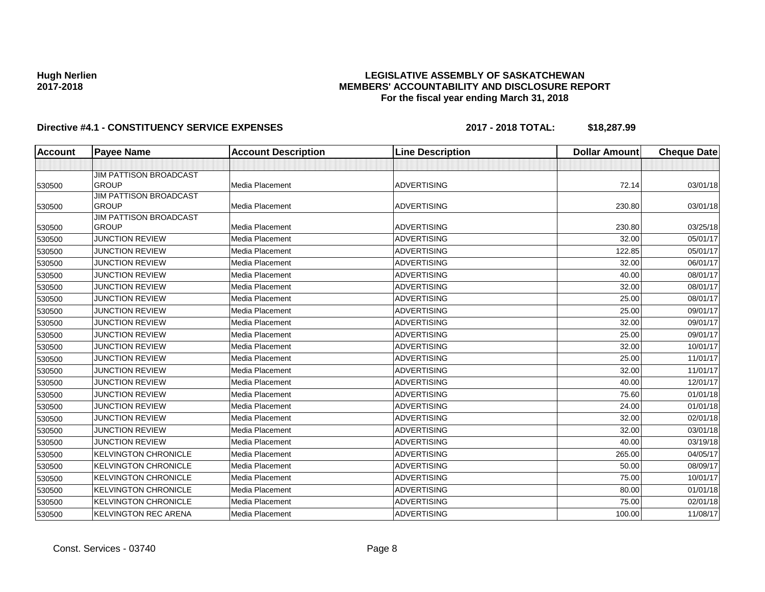## **LEGISLATIVE ASSEMBLY OF SASKATCHEWAN MEMBERS' ACCOUNTABILITY AND DISCLOSURE REPORT For the fiscal year ending March 31, 2018**

| <b>Account</b> | <b>Payee Name</b>                             | <b>Account Description</b> | <b>Line Description</b> | <b>Dollar Amount</b> | <b>Cheque Date</b> |
|----------------|-----------------------------------------------|----------------------------|-------------------------|----------------------|--------------------|
|                |                                               |                            |                         |                      |                    |
|                | <b>JIM PATTISON BROADCAST</b>                 |                            |                         |                      |                    |
| 530500         | <b>GROUP</b>                                  | Media Placement            | <b>ADVERTISING</b>      | 72.14                | 03/01/18           |
|                | <b>JIM PATTISON BROADCAST</b>                 |                            |                         |                      |                    |
| 530500         | <b>GROUP</b>                                  | Media Placement            | <b>ADVERTISING</b>      | 230.80               | 03/01/18           |
| 530500         | <b>JIM PATTISON BROADCAST</b><br><b>GROUP</b> | Media Placement            | <b>ADVERTISING</b>      | 230.80               | 03/25/18           |
| 530500         | <b>JUNCTION REVIEW</b>                        | Media Placement            | <b>ADVERTISING</b>      | 32.00                | 05/01/17           |
|                | <b>JUNCTION REVIEW</b>                        | Media Placement            | <b>ADVERTISING</b>      | 122.85               | 05/01/17           |
| 530500         |                                               | Media Placement            | <b>ADVERTISING</b>      |                      |                    |
| 530500         | <b>JUNCTION REVIEW</b>                        |                            |                         | 32.00                | 06/01/17           |
| 530500         | <b>JUNCTION REVIEW</b>                        | Media Placement            | <b>ADVERTISING</b>      | 40.00                | 08/01/17           |
| 530500         | <b>JUNCTION REVIEW</b>                        | Media Placement            | <b>ADVERTISING</b>      | 32.00                | 08/01/17           |
| 530500         | <b>JUNCTION REVIEW</b>                        | Media Placement            | <b>ADVERTISING</b>      | 25.00                | 08/01/17           |
| 530500         | <b>JUNCTION REVIEW</b>                        | Media Placement            | <b>ADVERTISING</b>      | 25.00                | 09/01/17           |
| 530500         | <b>JUNCTION REVIEW</b>                        | Media Placement            | <b>ADVERTISING</b>      | 32.00                | 09/01/17           |
| 530500         | <b>JUNCTION REVIEW</b>                        | Media Placement            | <b>ADVERTISING</b>      | 25.00                | 09/01/17           |
| 530500         | <b>JUNCTION REVIEW</b>                        | Media Placement            | <b>ADVERTISING</b>      | 32.00                | 10/01/17           |
| 530500         | <b>JUNCTION REVIEW</b>                        | Media Placement            | <b>ADVERTISING</b>      | 25.00                | 11/01/17           |
| 530500         | <b>JUNCTION REVIEW</b>                        | Media Placement            | <b>ADVERTISING</b>      | 32.00                | 11/01/17           |
| 530500         | <b>JUNCTION REVIEW</b>                        | Media Placement            | <b>ADVERTISING</b>      | 40.00                | 12/01/17           |
| 530500         | <b>JUNCTION REVIEW</b>                        | Media Placement            | <b>ADVERTISING</b>      | 75.60                | 01/01/18           |
| 530500         | <b>JUNCTION REVIEW</b>                        | Media Placement            | <b>ADVERTISING</b>      | 24.00                | 01/01/18           |
| 530500         | <b>JUNCTION REVIEW</b>                        | Media Placement            | <b>ADVERTISING</b>      | 32.00                | 02/01/18           |
| 530500         | <b>JUNCTION REVIEW</b>                        | Media Placement            | <b>ADVERTISING</b>      | 32.00                | 03/01/18           |
| 530500         | <b>JUNCTION REVIEW</b>                        | Media Placement            | <b>ADVERTISING</b>      | 40.00                | 03/19/18           |
| 530500         | <b>KELVINGTON CHRONICLE</b>                   | Media Placement            | <b>ADVERTISING</b>      | 265.00               | 04/05/17           |
| 530500         | <b>KELVINGTON CHRONICLE</b>                   | Media Placement            | <b>ADVERTISING</b>      | 50.00                | 08/09/17           |
| 530500         | <b>KELVINGTON CHRONICLE</b>                   | Media Placement            | <b>ADVERTISING</b>      | 75.00                | 10/01/17           |
| 530500         | <b>KELVINGTON CHRONICLE</b>                   | Media Placement            | <b>ADVERTISING</b>      | 80.00                | 01/01/18           |
| 530500         | <b>KELVINGTON CHRONICLE</b>                   | Media Placement            | <b>ADVERTISING</b>      | 75.00                | 02/01/18           |
| 530500         | <b>KELVINGTON REC ARENA</b>                   | Media Placement            | <b>ADVERTISING</b>      | 100.00               | 11/08/17           |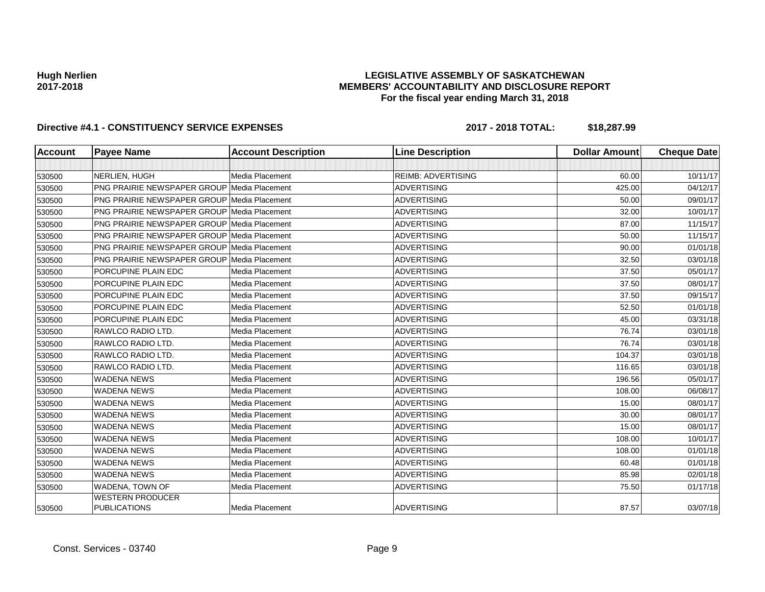## **LEGISLATIVE ASSEMBLY OF SASKATCHEWAN MEMBERS' ACCOUNTABILITY AND DISCLOSURE REPORT For the fiscal year ending March 31, 2018**

| <b>Account</b> | <b>Payee Name</b>                                  | <b>Account Description</b> | <b>Line Description</b>   | <b>Dollar Amount</b> | <b>Cheque Date</b> |
|----------------|----------------------------------------------------|----------------------------|---------------------------|----------------------|--------------------|
|                |                                                    |                            |                           |                      |                    |
| 530500         | NERLIEN, HUGH                                      | Media Placement            | <b>REIMB: ADVERTISING</b> | 60.00                | 10/11/17           |
| 530500         | <b>PNG PRAIRIE NEWSPAPER GROUP Media Placement</b> |                            | <b>ADVERTISING</b>        | 425.00               | 04/12/17           |
| 530500         | <b>PNG PRAIRIE NEWSPAPER GROUP Media Placement</b> |                            | <b>ADVERTISING</b>        | 50.00                | 09/01/17           |
| 530500         | <b>PNG PRAIRIE NEWSPAPER GROUP Media Placement</b> |                            | <b>ADVERTISING</b>        | 32.00                | 10/01/17           |
| 530500         | <b>PNG PRAIRIE NEWSPAPER GROUP Media Placement</b> |                            | <b>ADVERTISING</b>        | 87.00                | 11/15/17           |
| 530500         | <b>PNG PRAIRIE NEWSPAPER GROUP Media Placement</b> |                            | <b>ADVERTISING</b>        | 50.00                | 11/15/17           |
| 530500         | <b>PNG PRAIRIE NEWSPAPER GROUP Media Placement</b> |                            | <b>ADVERTISING</b>        | 90.00                | 01/01/18           |
| 530500         | <b>PNG PRAIRIE NEWSPAPER GROUP Media Placement</b> |                            | <b>ADVERTISING</b>        | 32.50                | 03/01/18           |
| 530500         | PORCUPINE PLAIN EDC                                | Media Placement            | <b>ADVERTISING</b>        | 37.50                | 05/01/17           |
| 530500         | PORCUPINE PLAIN EDC                                | Media Placement            | <b>ADVERTISING</b>        | 37.50                | 08/01/17           |
| 530500         | PORCUPINE PLAIN EDC                                | Media Placement            | <b>ADVERTISING</b>        | 37.50                | 09/15/17           |
| 530500         | PORCUPINE PLAIN EDC                                | Media Placement            | <b>ADVERTISING</b>        | 52.50                | 01/01/18           |
| 530500         | PORCUPINE PLAIN EDC                                | Media Placement            | <b>ADVERTISING</b>        | 45.00                | 03/31/18           |
| 530500         | RAWLCO RADIO LTD.                                  | Media Placement            | <b>ADVERTISING</b>        | 76.74                | 03/01/18           |
| 530500         | RAWLCO RADIO LTD.                                  | Media Placement            | <b>ADVERTISING</b>        | 76.74                | 03/01/18           |
| 530500         | RAWLCO RADIO LTD.                                  | Media Placement            | <b>ADVERTISING</b>        | 104.37               | 03/01/18           |
| 530500         | RAWLCO RADIO LTD.                                  | Media Placement            | <b>ADVERTISING</b>        | 116.65               | 03/01/18           |
| 530500         | <b>WADENA NEWS</b>                                 | Media Placement            | <b>ADVERTISING</b>        | 196.56               | 05/01/17           |
| 530500         | <b>WADENA NEWS</b>                                 | Media Placement            | <b>ADVERTISING</b>        | 108.00               | 06/08/17           |
| 530500         | <b>WADENA NEWS</b>                                 | Media Placement            | <b>ADVERTISING</b>        | 15.00                | 08/01/17           |
| 530500         | <b>WADENA NEWS</b>                                 | Media Placement            | <b>ADVERTISING</b>        | 30.00                | 08/01/17           |
| 530500         | <b>WADENA NEWS</b>                                 | Media Placement            | <b>ADVERTISING</b>        | 15.00                | 08/01/17           |
| 530500         | <b>WADENA NEWS</b>                                 | Media Placement            | <b>ADVERTISING</b>        | 108.00               | 10/01/17           |
| 530500         | <b>WADENA NEWS</b>                                 | Media Placement            | <b>ADVERTISING</b>        | 108.00               | 01/01/18           |
| 530500         | <b>WADENA NEWS</b>                                 | Media Placement            | <b>ADVERTISING</b>        | 60.48                | 01/01/18           |
| 530500         | <b>WADENA NEWS</b>                                 | Media Placement            | <b>ADVERTISING</b>        | 85.98                | 02/01/18           |
| 530500         | WADENA, TOWN OF                                    | Media Placement            | <b>ADVERTISING</b>        | 75.50                | 01/17/18           |
| 530500         | <b>WESTERN PRODUCER</b><br><b>PUBLICATIONS</b>     | Media Placement            | <b>ADVERTISING</b>        | 87.57                | 03/07/18           |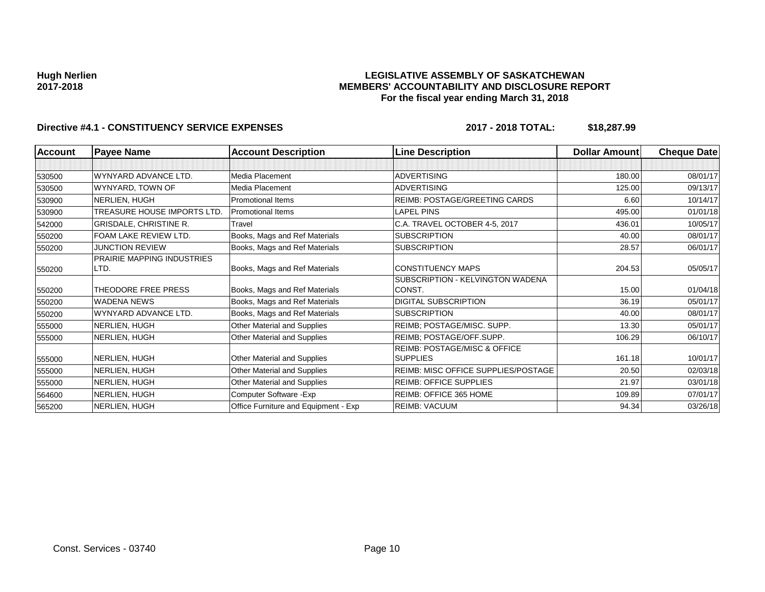## **LEGISLATIVE ASSEMBLY OF SASKATCHEWAN MEMBERS' ACCOUNTABILITY AND DISCLOSURE REPORT For the fiscal year ending March 31, 2018**

| Account | <b>Payee Name</b>                 | <b>Account Description</b>           | <b>Line Description</b>             | Dollar Amount | <b>Cheque Date</b> |
|---------|-----------------------------------|--------------------------------------|-------------------------------------|---------------|--------------------|
|         |                                   |                                      |                                     |               |                    |
| 530500  | WYNYARD ADVANCE LTD.              | Media Placement                      | <b>ADVERTISING</b>                  | 180.00        | 08/01/17           |
| 530500  | WYNYARD, TOWN OF                  | Media Placement                      | <b>ADVERTISING</b>                  | 125.00        | 09/13/17           |
| 530900  | NERLIEN, HUGH                     | <b>Promotional Items</b>             | REIMB: POSTAGE/GREETING CARDS       | 6.60          | 10/14/17           |
| 530900  | TREASURE HOUSE IMPORTS LTD.       | Promotional Items                    | <b>LAPEL PINS</b>                   | 495.00        | 01/01/18           |
| 542000  | <b>GRISDALE, CHRISTINE R.</b>     | Travel                               | C.A. TRAVEL OCTOBER 4-5, 2017       | 436.01        | 10/05/17           |
| 550200  | <b>FOAM LAKE REVIEW LTD.</b>      | Books, Mags and Ref Materials        | <b>SUBSCRIPTION</b>                 | 40.00         | 08/01/17           |
| 550200  | <b>JUNCTION REVIEW</b>            | Books, Mags and Ref Materials        | <b>SUBSCRIPTION</b>                 | 28.57         | 06/01/17           |
|         | <b>PRAIRIE MAPPING INDUSTRIES</b> |                                      |                                     |               |                    |
| 550200  | LTD.                              | Books, Mags and Ref Materials        | <b>CONSTITUENCY MAPS</b>            | 204.53        | 05/05/17           |
|         |                                   |                                      | SUBSCRIPTION - KELVINGTON WADENA    |               |                    |
| 550200  | THEODORE FREE PRESS               | Books, Mags and Ref Materials        | CONST.                              | 15.00         | 01/04/18           |
| 550200  | <b>WADENA NEWS</b>                | Books, Mags and Ref Materials        | DIGITAL SUBSCRIPTION                | 36.19         | 05/01/17           |
| 550200  | WYNYARD ADVANCE LTD.              | Books, Mags and Ref Materials        | <b>SUBSCRIPTION</b>                 | 40.00         | 08/01/17           |
| 555000  | NERLIEN, HUGH                     | Other Material and Supplies          | REIMB; POSTAGE/MISC. SUPP.          | 13.30         | 05/01/17           |
| 555000  | NERLIEN, HUGH                     | Other Material and Supplies          | REIMB; POSTAGE/OFF.SUPP.            | 106.29        | 06/10/17           |
|         |                                   |                                      | REIMB: POSTAGE/MISC & OFFICE        |               |                    |
| 555000  | NERLIEN, HUGH                     | Other Material and Supplies          | <b>SUPPLIES</b>                     | 161.18        | 10/01/17           |
| 555000  | NERLIEN, HUGH                     | Other Material and Supplies          | REIMB: MISC OFFICE SUPPLIES/POSTAGE | 20.50         | 02/03/18           |
| 555000  | NERLIEN, HUGH                     | Other Material and Supplies          | <b>REIMB: OFFICE SUPPLIES</b>       | 21.97         | 03/01/18           |
| 564600  | NERLIEN, HUGH                     | Computer Software - Exp              | REIMB: OFFICE 365 HOME              | 109.89        | 07/01/17           |
| 565200  | NERLIEN, HUGH                     | Office Furniture and Equipment - Exp | <b>REIMB: VACUUM</b>                | 94.34         | 03/26/18           |